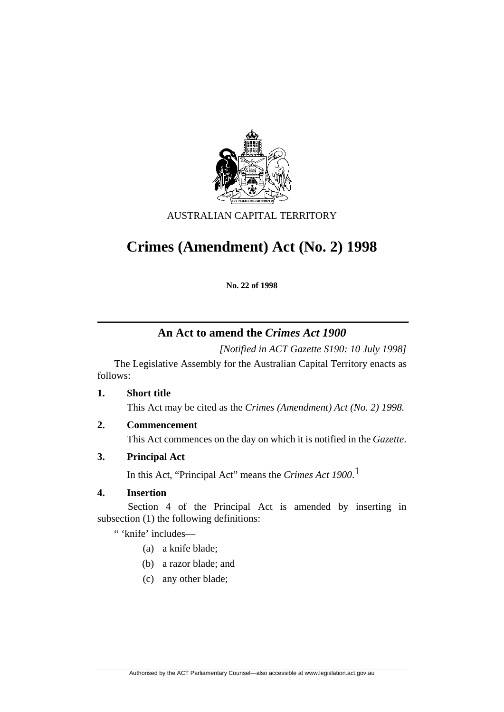

AUSTRALIAN CAPITAL TERRITORY

# **Crimes (Amendment) Act (No. 2) 1998**

**No. 22 of 1998** 

# **An Act to amend the** *Crimes Act 1900*

*[Notified in ACT Gazette S190: 10 July 1998]*

 The Legislative Assembly for the Australian Capital Territory enacts as follows:

**1. Short title** 

This Act may be cited as the *Crimes (Amendment) Act (No. 2) 1998.*

**2. Commencement** 

This Act commences on the day on which it is notified in the *Gazette*.

**3. Principal Act** 

In this Act, "Principal Act" means the *Crimes Act 1900*. 1

# **4. Insertion**

 Section 4 of the Principal Act is amended by inserting in subsection (1) the following definitions:

" 'knife' includes—

- (a) a knife blade;
- (b) a razor blade; and
- (c) any other blade;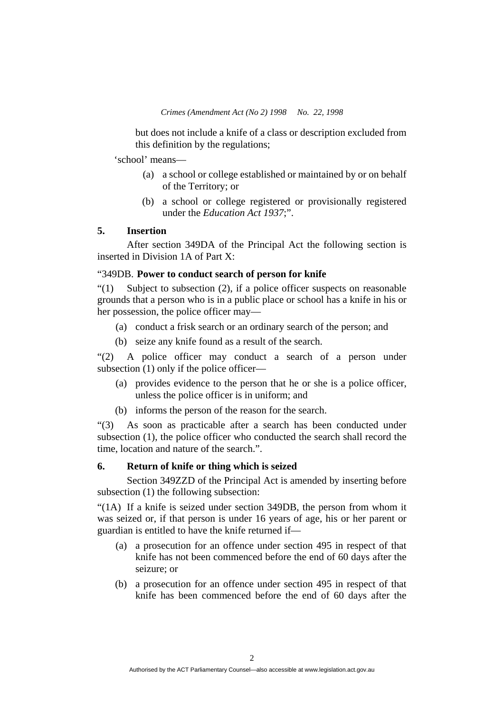but does not include a knife of a class or description excluded from this definition by the regulations;

'school' means—

- (a) a school or college established or maintained by or on behalf of the Territory; or
- (b) a school or college registered or provisionally registered under the *Education Act 1937*;".

#### **5. Insertion**

 After section 349DA of the Principal Act the following section is inserted in Division 1A of Part X:

# "349DB. **Power to conduct search of person for knife**

"(1) Subject to subsection (2), if a police officer suspects on reasonable grounds that a person who is in a public place or school has a knife in his or her possession, the police officer may—

- (a) conduct a frisk search or an ordinary search of the person; and
- (b) seize any knife found as a result of the search.

"(2) A police officer may conduct a search of a person under subsection (1) only if the police officer—

- (a) provides evidence to the person that he or she is a police officer, unless the police officer is in uniform; and
- (b) informs the person of the reason for the search.

"(3) As soon as practicable after a search has been conducted under subsection (1), the police officer who conducted the search shall record the time, location and nature of the search.".

# **6. Return of knife or thing which is seized**

 Section 349ZZD of the Principal Act is amended by inserting before subsection (1) the following subsection:

"(1A) If a knife is seized under section 349DB, the person from whom it was seized or, if that person is under 16 years of age, his or her parent or guardian is entitled to have the knife returned if—

- (a) a prosecution for an offence under section 495 in respect of that knife has not been commenced before the end of 60 days after the seizure; or
- (b) a prosecution for an offence under section 495 in respect of that knife has been commenced before the end of 60 days after the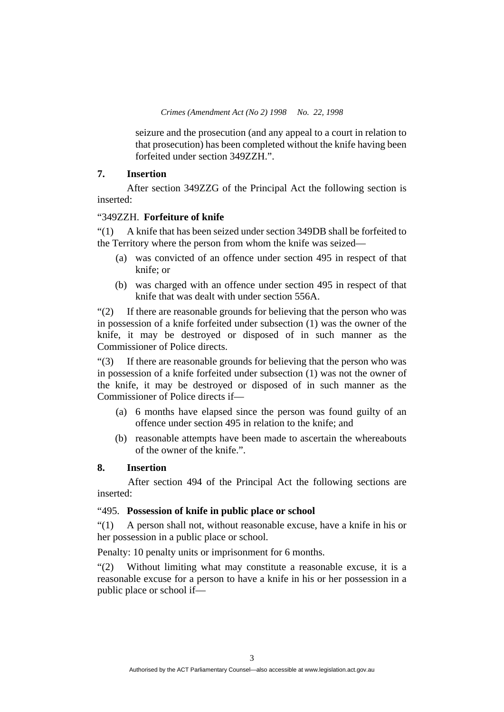*Crimes (Amendment Act (No 2) 1998 No. 22, 1998* 

seizure and the prosecution (and any appeal to a court in relation to that prosecution) has been completed without the knife having been forfeited under section 349ZZH.".

# **7. Insertion**

 After section 349ZZG of the Principal Act the following section is inserted:

# "349ZZH. **Forfeiture of knife**

"(1) A knife that has been seized under section 349DB shall be forfeited to the Territory where the person from whom the knife was seized—

- (a) was convicted of an offence under section 495 in respect of that knife; or
- (b) was charged with an offence under section 495 in respect of that knife that was dealt with under section 556A.

"(2) If there are reasonable grounds for believing that the person who was in possession of a knife forfeited under subsection (1) was the owner of the knife, it may be destroyed or disposed of in such manner as the Commissioner of Police directs.

"(3) If there are reasonable grounds for believing that the person who was in possession of a knife forfeited under subsection (1) was not the owner of the knife, it may be destroyed or disposed of in such manner as the Commissioner of Police directs if—

- (a) 6 months have elapsed since the person was found guilty of an offence under section 495 in relation to the knife; and
- (b) reasonable attempts have been made to ascertain the whereabouts of the owner of the knife.".

# **8. Insertion**

 After section 494 of the Principal Act the following sections are inserted:

# "495. **Possession of knife in public place or school**

"(1) A person shall not, without reasonable excuse, have a knife in his or her possession in a public place or school.

Penalty: 10 penalty units or imprisonment for 6 months.

"(2) Without limiting what may constitute a reasonable excuse, it is a reasonable excuse for a person to have a knife in his or her possession in a public place or school if—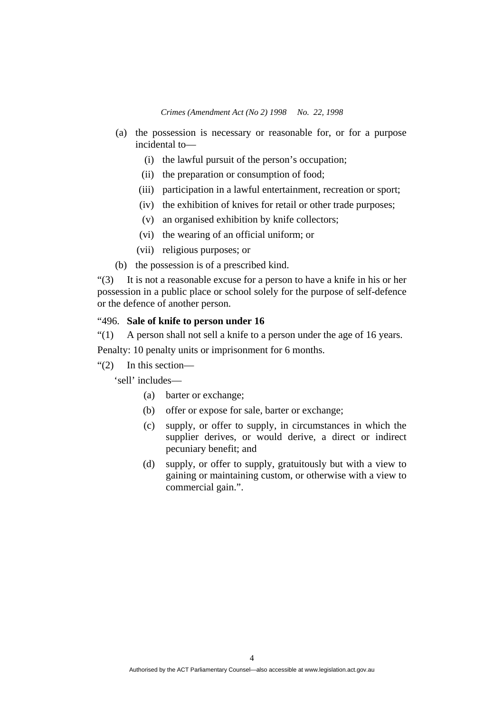- (a) the possession is necessary or reasonable for, or for a purpose incidental to—
	- (i) the lawful pursuit of the person's occupation;
	- (ii) the preparation or consumption of food;
	- (iii) participation in a lawful entertainment, recreation or sport;
	- (iv) the exhibition of knives for retail or other trade purposes;
	- (v) an organised exhibition by knife collectors;
	- (vi) the wearing of an official uniform; or
	- (vii) religious purposes; or
- (b) the possession is of a prescribed kind.

"(3) It is not a reasonable excuse for a person to have a knife in his or her possession in a public place or school solely for the purpose of self-defence or the defence of another person.

# "496. **Sale of knife to person under 16**

"(1) A person shall not sell a knife to a person under the age of 16 years.

Penalty: 10 penalty units or imprisonment for 6 months.

"(2) In this section—

'sell' includes—

- (a) barter or exchange;
- (b) offer or expose for sale, barter or exchange;
- (c) supply, or offer to supply, in circumstances in which the supplier derives, or would derive, a direct or indirect pecuniary benefit; and
- (d) supply, or offer to supply, gratuitously but with a view to gaining or maintaining custom, or otherwise with a view to commercial gain.".